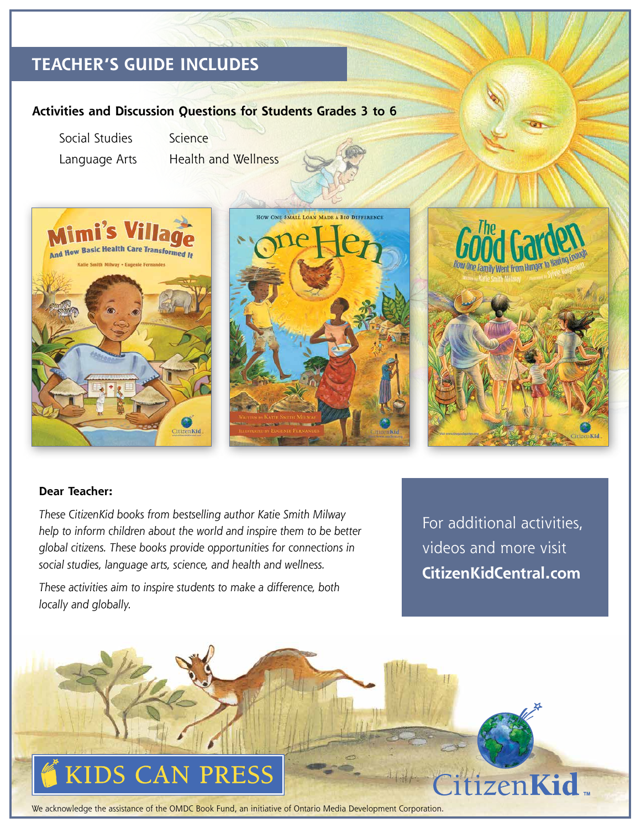## **TEACHER'S GUIDE INCLUDES**

#### **Activities and Discussion Questions for Students Grades 3 to 6**

Social Studies Science

Language Arts Health and Wellness







#### **Dear Teacher:**

*These CitizenKid books from bestselling author Katie Smith Milway help to inform children about the world and inspire them to be better global citizens. These books provide opportunities for connections in social studies, language arts, science, and health and wellness.* 

*These activities aim to inspire students to make a difference, both locally and globally.*

For additional activities, videos and more visit **CitizenKidCentral.com**



We acknowledge the assistance of the OMDC Book Fund, an initiative of Ontario Media Development Corporation.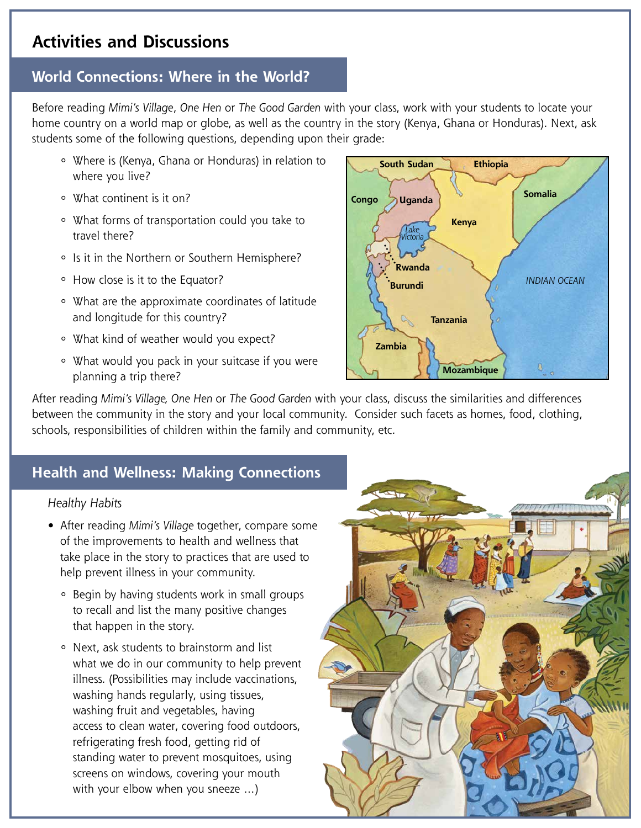### **Activities and Discussions**

# **World Connections: Where in the World?**

Before reading *Mimi's Village*, *One Hen* or *The Good Garden* with your class, work with your students to locate your home country on a world map or globe, as well as the country in the story (Kenya, Ghana or Honduras). Next, ask students some of the following questions, depending upon their grade:

- ° Where is (Kenya, Ghana or Honduras) in relation to where you live?
- ° What continent is it on?
- ° What forms of transportation could you take to travel there?
- ° Is it in the Northern or Southern Hemisphere?
- ° How close is it to the Equator?
- ° What are the approximate coordinates of latitude and longitude for this country?
- ° What kind of weather would you expect?
- ° What would you pack in your suitcase if you were planning a trip there?



After reading *Mimi's Village, One Hen* or *The Good Garden* with your class, discuss the similarities and differences between the community in the story and your local community. Consider such facets as homes, food, clothing, schools, responsibilities of children within the family and community, etc.

### **Health and Wellness: Making Connections**

#### *Healthy Habits*

- After reading *Mimi's Village* together, compare some of the improvements to health and wellness that take place in the story to practices that are used to help prevent illness in your community.
	- ° Begin by having students work in small groups to recall and list the many positive changes that happen in the story.
	- ° Next, ask students to brainstorm and list what we do in our community to help prevent illness. (Possibilities may include vaccinations, washing hands regularly, using tissues, washing fruit and vegetables, having access to clean water, covering food outdoors, refrigerating fresh food, getting rid of standing water to prevent mosquitoes, using screens on windows, covering your mouth with your elbow when you sneeze …)

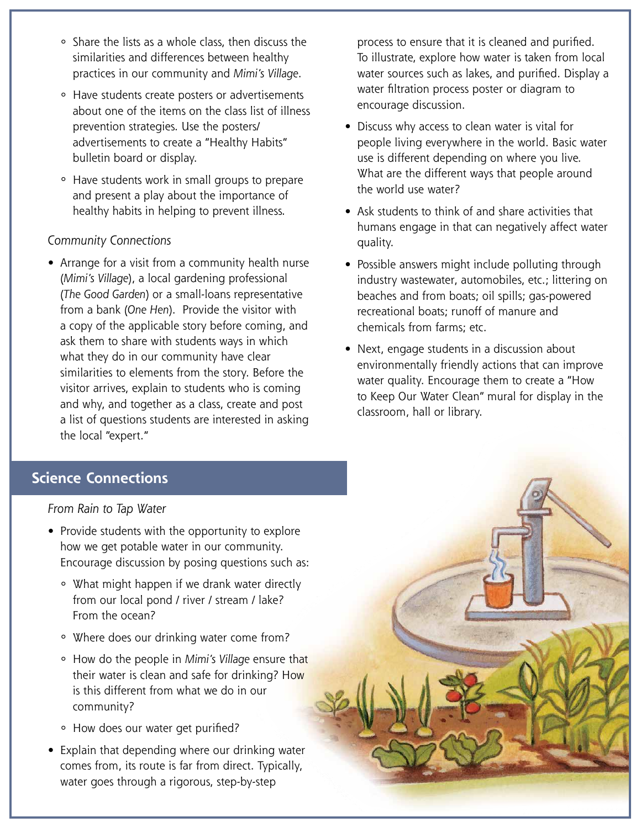- ° Share the lists as a whole class, then discuss the similarities and differences between healthy practices in our community and *Mimi's Village*.
- ° Have students create posters or advertisements about one of the items on the class list of illness prevention strategies. Use the posters/ advertisements to create a "Healthy Habits" bulletin board or display.
- ° Have students work in small groups to prepare and present a play about the importance of healthy habits in helping to prevent illness.

#### *Community Connections*

• Arrange for a visit from a community health nurse (*Mimi's Village*), a local gardening professional (*The Good Garden*) or a small-loans representative from a bank (*One Hen*). Provide the visitor with a copy of the applicable story before coming, and ask them to share with students ways in which what they do in our community have clear similarities to elements from the story. Before the visitor arrives, explain to students who is coming and why, and together as a class, create and post a list of questions students are interested in asking the local "expert."

 process to ensure that it is cleaned and purified. To illustrate, explore how water is taken from local water sources such as lakes, and purified. Display a water filtration process poster or diagram to encourage discussion.

- Discuss why access to clean water is vital for people living everywhere in the world. Basic water use is different depending on where you live. What are the different ways that people around the world use water?
- Ask students to think of and share activities that humans engage in that can negatively affect water quality.
- Possible answers might include polluting through industry wastewater, automobiles, etc.; littering on beaches and from boats; oil spills; gas-powered recreational boats; runoff of manure and chemicals from farms; etc.
- Next, engage students in a discussion about environmentally friendly actions that can improve water quality. Encourage them to create a "How to Keep Our Water Clean" mural for display in the classroom, hall or library.

### **Science Connections**

*From Rain to Tap Water*

- Provide students with the opportunity to explore how we get potable water in our community. Encourage discussion by posing questions such as:
	- ° What might happen if we drank water directly from our local pond / river / stream / lake? From the ocean?
	- ° Where does our drinking water come from?
	- ° How do the people in *Mimi's Village* ensure that their water is clean and safe for drinking? How is this different from what we do in our community?
	- ° How does our water get purified?
- Explain that depending where our drinking water comes from, its route is far from direct. Typically, water goes through a rigorous, step-by-step